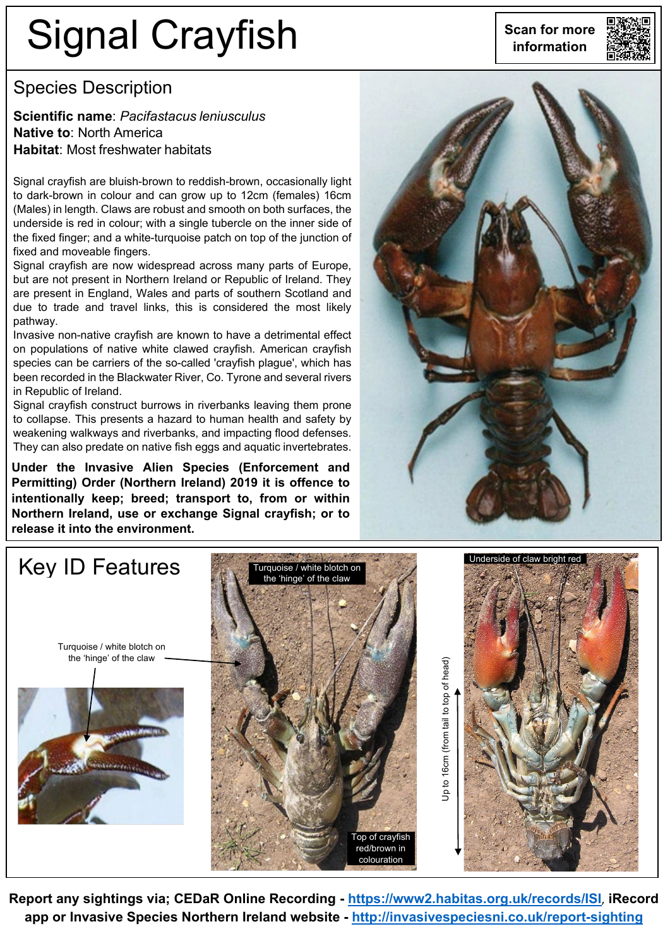# Signal Crayfish **information**



### Species Description

**Scientific name**: *Pacifastacus leniusculus* **Native to**: North America **Habitat**: Most freshwater habitats

Signal crayfish are bluish-brown to reddish-brown, occasionally light to dark-brown in colour and can grow up to 12cm (females) 16cm (Males) in length. Claws are robust and smooth on both surfaces, the underside is red in colour; with a single tubercle on the inner side of the fixed finger; and a white-turquoise patch on top of the junction of fixed and moveable fingers.

Signal crayfish are now widespread across many parts of Europe, but are not present in Northern Ireland or Republic of Ireland. They are present in England, Wales and parts of southern Scotland and due to trade and travel links, this is considered the most likely pathway.

Invasive non-native crayfish are known to have a detrimental effect on populations of native white clawed crayfish. American crayfish species can be carriers of the so-called 'crayfish plague', which has been recorded in the Blackwater River, Co. Tyrone and several rivers in Republic of Ireland.

Signal crayfish construct burrows in riverbanks leaving them prone to collapse. This presents a hazard to human health and safety by weakening walkways and riverbanks, and impacting flood defenses. They can also predate on native fish eggs and aquatic invertebrates.

**Under the Invasive Alien Species (Enforcement and Permitting) Order (Northern Ireland) 2019 it is offence to intentionally keep; breed; transport to, from or within Northern Ireland, use or exchange Signal crayfish; or to release it into the environment.**





**Report any sightings via; CEDaR Online Recording - <https://www2.habitas.org.uk/records/ISI>**, **iRecord app or Invasive Species Northern Ireland website - <http://invasivespeciesni.co.uk/report-sighting>**